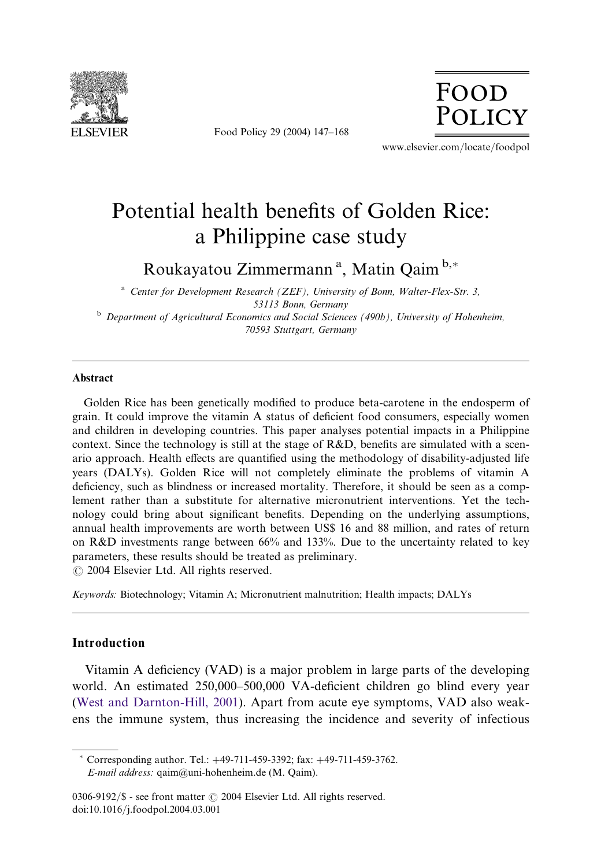

Food Policy 29 (2004) 147–168

FOOD POLICY

www.elsevier.com/locate/foodpol

# Potential health benefits of Golden Rice: a Philippine case study

Roukayatou Zimmermann<sup>a</sup>, Matin Qaim<sup>b,\*</sup>

<sup>a</sup> Center for Development Research (ZEF), University of Bonn, Walter-Flex-Str. 3, 53113 Bonn, Germany

<sup>b</sup> Department of Agricultural Economics and Social Sciences (490b), University of Hohenheim, 70593 Stuttgart, Germany

#### Abstract

Golden Rice has been genetically modified to produce beta-carotene in the endosperm of grain. It could improve the vitamin A status of deficient food consumers, especially women and children in developing countries. This paper analyses potential impacts in a Philippine context. Since the technology is still at the stage of R&D, benefits are simulated with a scenario approach. Health effects are quantified using the methodology of disability-adjusted life years (DALYs). Golden Rice will not completely eliminate the problems of vitamin A deficiency, such as blindness or increased mortality. Therefore, it should be seen as a complement rather than a substitute for alternative micronutrient interventions. Yet the technology could bring about significant benefits. Depending on the underlying assumptions, annual health improvements are worth between US\$ 16 and 88 million, and rates of return on R&D investments range between 66% and 133%. Due to the uncertainty related to key parameters, these results should be treated as preliminary.

 $\odot$  2004 Elsevier Ltd. All rights reserved.

Keywords: Biotechnology; Vitamin A; Micronutrient malnutrition; Health impacts; DALYs

# Introduction

Vitamin A deficiency (VAD) is a major problem in large parts of the developing world. An estimated 250,000–500,000 VA-deficient children go blind every year [\(West and Darnton-Hill, 2001](#page-20-0)). Apart from acute eye symptoms, VAD also weakens the immune system, thus increasing the incidence and severity of infectious

 $*$  Corresponding author. Tel.:  $+49-711-459-3392$ ; fax:  $+49-711-459-3762$ . E-mail address: qaim@uni-hohenheim.de (M. Qaim).

<sup>0306-9192/\$ -</sup> see front matter  $\odot$  2004 Elsevier Ltd. All rights reserved. doi:10.1016/j.foodpol.2004.03.001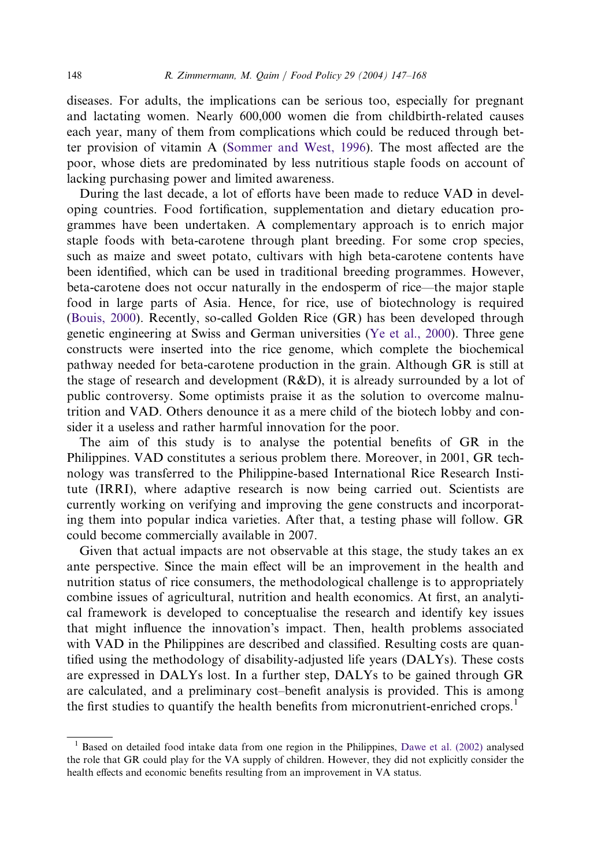diseases. For adults, the implications can be serious too, especially for pregnant and lactating women. Nearly 600,000 women die from childbirth-related causes each year, many of them from complications which could be reduced through bet-ter provision of vitamin A [\(Sommer and West, 1996\)](#page-20-0). The most affected are the poor, whose diets are predominated by less nutritious staple foods on account of lacking purchasing power and limited awareness.

During the last decade, a lot of efforts have been made to reduce VAD in developing countries. Food fortification, supplementation and dietary education programmes have been undertaken. A complementary approach is to enrich major staple foods with beta-carotene through plant breeding. For some crop species, such as maize and sweet potato, cultivars with high beta-carotene contents have been identified, which can be used in traditional breeding programmes. However, beta-carotene does not occur naturally in the endosperm of rice—the major staple food in large parts of Asia. Hence, for rice, use of biotechnology is required ([Bouis, 2000\)](#page-19-0). Recently, so-called Golden Rice (GR) has been developed through genetic engineering at Swiss and German universities ([Ye et al., 2000\)](#page-21-0). Three gene constructs were inserted into the rice genome, which complete the biochemical pathway needed for beta-carotene production in the grain. Although GR is still at the stage of research and development  $(R&D)$ , it is already surrounded by a lot of public controversy. Some optimists praise it as the solution to overcome malnutrition and VAD. Others denounce it as a mere child of the biotech lobby and consider it a useless and rather harmful innovation for the poor.

The aim of this study is to analyse the potential benefits of GR in the Philippines. VAD constitutes a serious problem there. Moreover, in 2001, GR technology was transferred to the Philippine-based International Rice Research Institute (IRRI), where adaptive research is now being carried out. Scientists are currently working on verifying and improving the gene constructs and incorporating them into popular indica varieties. After that, a testing phase will follow. GR could become commercially available in 2007.

Given that actual impacts are not observable at this stage, the study takes anex ante perspective. Since the main effect will be an improvement in the health and nutrition status of rice consumers, the methodological challenge is to appropriately combine issues of agricultural, nutrition and health economics. At first, an analytical framework is developed to conceptualise the research and identify key issues that might influence the innovation's impact. Then, health problems associated with VAD in the Philippines are described and classified. Resulting costs are quantified using the methodology of disability-adjusted life years (DALYs). These costs are expressed inDALYs lost. Ina further step, DALYs to be gained through GR are calculated, and a preliminary cost–benefit analysis is provided. This is among the first studies to quantify the health benefits from micronutrient-enriched crops.<sup>1</sup>

<sup>1</sup> Based on detailed food intake data from one region in the Philippines, [Dawe et al. \(2002\)](#page-20-0) analysed the role that GR could play for the VA supply of children. However, they did not explicitly consider the health effects and economic benefits resulting from an improvement in VA status.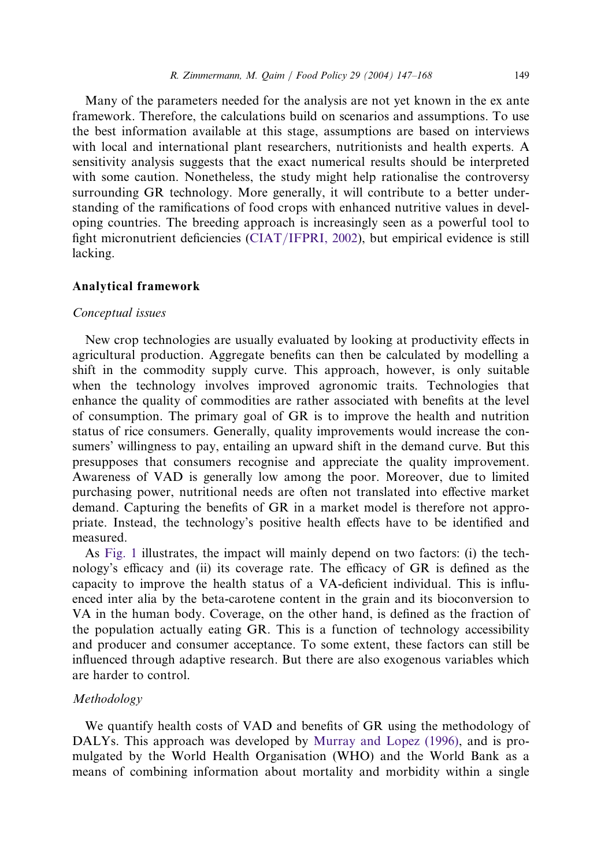Many of the parameters needed for the analysis are not yet known in the ex ante framework. Therefore, the calculations build on scenarios and assumptions. To use the best information available at this stage, assumptions are based on interviews with local and international plant researchers, nutritionists and health experts. A sensitivity analysis suggests that the exact numerical results should be interpreted with some caution. Nonetheless, the study might help rationalise the controversy surrounding GR technology. More generally, it will contribute to a better understanding of the ramifications of food crops with enhanced nutritive values in developing countries. The breeding approach is increasingly seen as a powerful tool to fight micronutrient deficiencies ([CIAT/IFPRI, 2002\)](#page-19-0), but empirical evidence is still lacking.

## Analytical framework

## Conceptual issues

New crop technologies are usually evaluated by looking at productivity effects in agricultural production. Aggregate benefits can then be calculated by modelling a shift in the commodity supply curve. This approach, however, is only suitable when the technology involves improved agronomic traits. Technologies that enhance the quality of commodities are rather associated with benefits at the level of consumption. The primary goal of GR is to improve the health and nutrition status of rice consumers. Generally, quality improvements would increase the consumers' willingness to pay, entailing an upward shift in the demand curve. But this presupposes that consumers recognise and appreciate the quality improvement. Awareness of VAD is generally low among the poor. Moreover, due to limited purchasing power, nutritional needs are often not translated into effective market demand. Capturing the benefits of GR in a market model is therefore not appropriate. Instead, the technology's positive health effects have to be identified and measured.

As [Fig. 1](#page-3-0) illustrates, the impact will mainly depend on two factors: (i) the technology's efficacy and (ii) its coverage rate. The efficacy of GR is defined as the capacity to improve the health status of a VA-deficient individual. This is influenced inter alia by the beta-carotene content in the grain and its bioconversion to VA in the human body. Coverage, on the other hand, is defined as the fraction of the population actually eating GR. This is a function of technology accessibility and producer and consumer acceptance. To some extent, these factors can still be influenced through adaptive research. But there are also exogenous variables which are harder to control.

#### Methodology

We quantify health costs of VAD and benefits of GR using the methodology of DALYs. This approach was developed by [Murray and Lopez \(1996\),](#page-20-0) and is promulgated by the World Health Organisation (WHO) and the World Bank as a means of combining information about mortality and morbidity within a single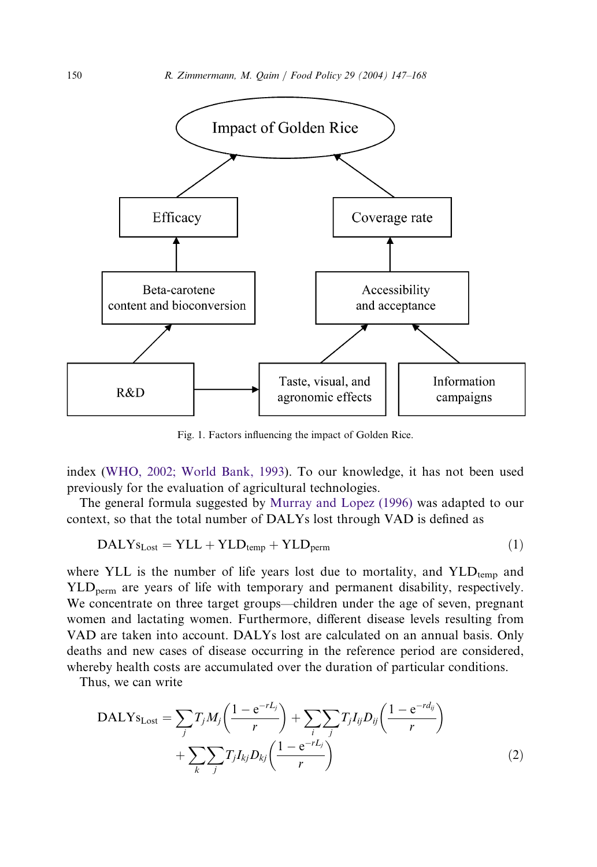

Fig. 1. Factors influencing the impact of Golden Rice.

index ([WHO, 2002; World Bank, 1993](#page-21-0)). To our knowledge, it has not been used previously for the evaluation of agricultural technologies.

The general formula suggested by [Murray and Lopez \(1996\)](#page-20-0) was adapted to our context, so that the total number of DALYs lost through VAD is defined as

$$
DALYs_{\text{Lost}} = YLL + YLD_{\text{temp}} + YLD_{\text{perm}} \tag{1}
$$

where YLL is the number of life years lost due to mortality, and  $YLD_{temp}$  and  $YLD<sub>perm</sub>$  are years of life with temporary and permanent disability, respectively. We concentrate on three target groups—children under the age of seven, pregnant women and lactating women. Furthermore, different disease levels resulting from VAD are taken into account. DALYs lost are calculated on an annual basis. Only deaths and new cases of disease occurring in the reference period are considered, whereby health costs are accumulated over the duration of particular conditions.

Thus, we canwrite

$$
DALY_{S_{Lost}} = \sum_{j} T_j M_j \left( \frac{1 - e^{-rL_j}}{r} \right) + \sum_{i} \sum_{j} T_j I_{ij} D_{ij} \left( \frac{1 - e^{-rL_j}}{r} \right) + \sum_{k} \sum_{j} T_j I_{kj} D_{kj} \left( \frac{1 - e^{-rL_j}}{r} \right)
$$
(2)

<span id="page-3-0"></span>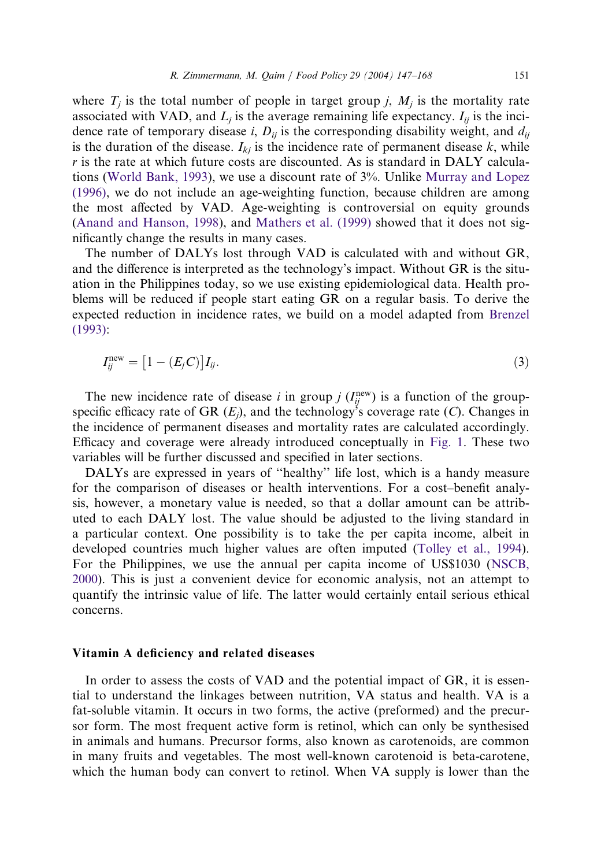where  $T_i$  is the total number of people in target group j,  $M_i$  is the mortality rate associated with VAD, and  $L_i$  is the average remaining life expectancy.  $I_{ij}$  is the incidence rate of temporary disease i,  $D_{ij}$  is the corresponding disability weight, and  $d_{ij}$ is the duration of the disease.  $I_{ki}$  is the incidence rate of permanent disease k, while r is the rate at which future costs are discounted. As is standard in DALY calculations ([World Bank, 1993\)](#page-21-0), we use a discount rate of 3%. Unlike [Murray and Lopez](#page-20-0) [\(1996\)](#page-20-0), we do not include an age-weighting function, because children are among the most affected by VAD. Age-weighting is controversial on equity grounds [\(Anand and Hanson, 1998\)](#page-19-0), and [Mathers et al. \(1999\)](#page-20-0) showed that it does not significantly change the results in many cases.

The number of DALYs lost through VAD is calculated with and without GR, and the difference is interpreted as the technology's impact. Without GR is the situation in the Philippines today, so we use existing epidemiological data. Health problems will be reduced if people start eating GR on a regular basis. To derive the expected reduction in incidence rates, we build on a model adapted from [Brenzel](#page-19-0) [\(1993\)](#page-19-0):

$$
I_{ij}^{\text{new}} = \left[1 - (E_j C)\right] I_{ij}.\tag{3}
$$

The new incidence rate of disease *i* in group *j* ( $I_{ij}^{\text{new}}$ ) is a function of the groupspecific efficacy rate of GR  $(E_i)$ , and the technology's coverage rate (C). Changes in the incidence of permanent diseases and mortality rates are calculated accordingly. Efficacy and coverage were already introduced conceptually in [Fig. 1](#page-3-0). These two variables will be further discussed and specified in later sections.

DALYs are expressed in years of "healthy" life lost, which is a handy measure for the comparison of diseases or health interventions. For a cost–benefit analysis, however, a monetary value is needed, so that a dollar amount can be attributed to each DALY lost. The value should be adjusted to the living standard in a particular context. One possibility is to take the per capita income, albeit in developed countries much higher values are often imputed [\(Tolley et al., 1994](#page-20-0)). For the Philippines, we use the annual per capita income of US\$1030 [\(NSCB,](#page-20-0) [2000\)](#page-20-0). This is just a convenient device for economic analysis, not an attempt to quantify the intrinsic value of life. The latter would certainly entail serious ethical concerns.

#### Vitamin A deficiency and related diseases

In order to assess the costs of VAD and the potential impact of GR, it is essential to understand the linkages between nutrition, VA status and health. VA is a fat-soluble vitamin. It occurs in two forms, the active (preformed) and the precursor form. The most frequent active form is retinol, which can only be synthesised in animals and humans. Precursor forms, also known as carotenoids, are common in many fruits and vegetables. The most well-known carotenoid is beta-carotene, which the human body can convert to retinol. When VA supply is lower than the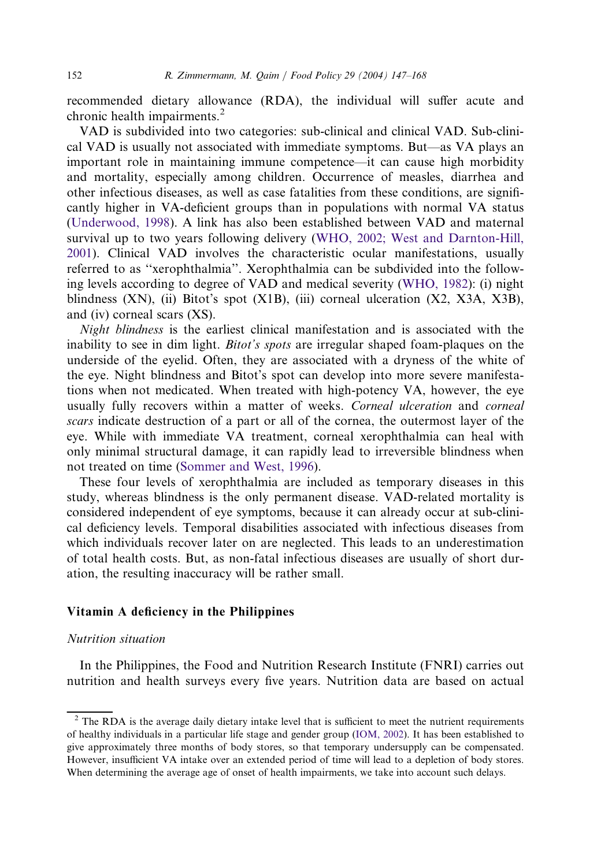recommended dietary allowance (RDA), the individual will suffer acute and chronic health impairments.<sup>2</sup>

VAD is subdivided into two categories: sub-clinical and clinical VAD. Sub-clinical VAD is usually not associated with immediate symptoms. But—as VA plays an important role in maintaining immune competence—it can cause high morbidity and mortality, especially among children. Occurrence of measles, diarrhea and other infectious diseases, as well as case fatalities from these conditions, are significantly higher in VA-deficient groups than in populations with normal VA status ([Underwood, 1998](#page-20-0)). A link has also been established between VAD and maternal survival up to two years following delivery ([WHO, 2002; West and Darnton-Hill,](#page-21-0) [2001](#page-21-0)). Clinical VAD involves the characteristic ocular manifestations, usually referred to as ''xerophthalmia''. Xerophthalmia canbe subdivided into the following levels according to degree of VAD and medical severity [\(WHO, 1982](#page-21-0)): (i) night blindness (XN), (ii) Bitot's spot (X1B), (iii) corneal ulceration (X2, X3A, X3B), and (iv) corneal scars (XS).

Night blindness is the earliest clinical manifestation and is associated with the inability to see in dim light. *Bitot's spots* are irregular shaped foam-plaques on the underside of the eyelid. Often, they are associated with a dryness of the white of the eye. Night blindness and Bitot's spot can develop into more severe manifestations when not medicated. When treated with high-potency VA, however, the eye usually fully recovers within a matter of weeks. Corneal ulceration and corneal scars indicate destruction of a part or all of the cornea, the outermost layer of the eye. While with immediate VA treatment, corneal xerophthalmia can heal with only minimal structural damage, it can rapidly lead to irreversible blindness when not treated on time [\(Sommer and West, 1996](#page-20-0)).

These four levels of xerophthalmia are included as temporary diseases in this study, whereas blindness is the only permanent disease. VAD-related mortality is considered independent of eye symptoms, because it can already occur at sub-clinical deficiency levels. Temporal disabilities associated with infectious diseases from which individuals recover later on are neglected. This leads to an underestimation of total health costs. But, as non-fatal infectious diseases are usually of short duration, the resulting inaccuracy will be rather small.

## Vitamin A deficiency in the Philippines

## Nutrition situation

In the Philippines, the Food and Nutrition Research Institute (FNRI) carries out nutrition and health surveys every five years. Nutrition data are based on actual

<sup>&</sup>lt;sup>2</sup> The RDA is the average daily dietary intake level that is sufficient to meet the nutrient requirements of healthy individuals in a particular life stage and gender group ([IOM, 2002\)](#page-20-0). It has beenestablished to give approximately three months of body stores, so that temporary undersupply can be compensated. However, insufficient VA intake over an extended period of time will lead to a depletion of body stores. When determining the average age of onset of health impairments, we take into account such delays.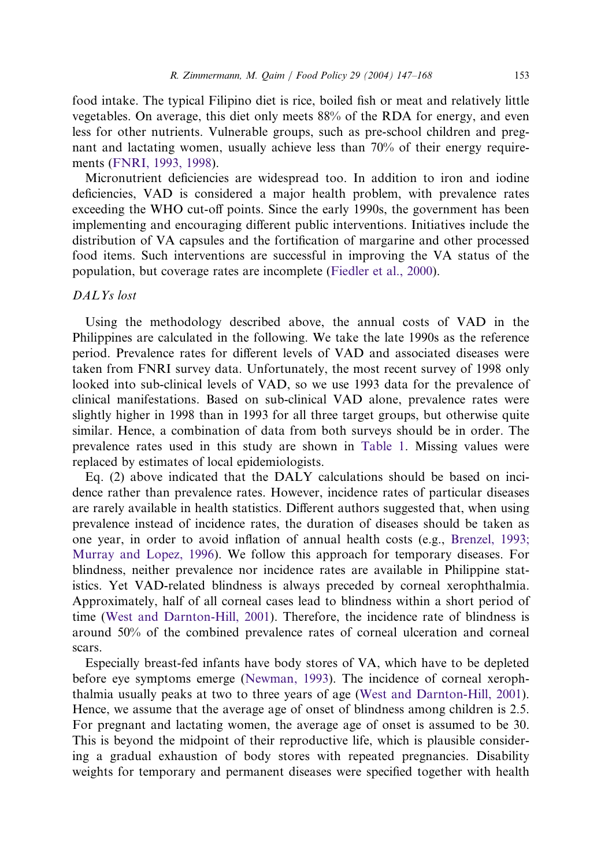food intake. The typical Filipino diet is rice, boiled fish or meat and relatively little vegetables. On average, this diet only meets 88% of the RDA for energy, and even less for other nutrients. Vulnerable groups, such as pre-school children and pregnant and lactating women, usually achieve less than 70% of their energy requirements [\(FNRI, 1993, 1998\)](#page-20-0).

Micronutrient deficiencies are widespread too. In addition to iron and iodine deficiencies, VAD is considered a major health problem, with prevalence rates exceeding the WHO cut-off points. Since the early 1990s, the government has been implementing and encouraging different public interventions. Initiatives include the distribution of VA capsules and the fortification of margarine and other processed food items. Such interventions are successful in improving the VA status of the population, but coverage rates are incomplete [\(Fiedler et al., 2000](#page-20-0)).

## DALYs lost

Using the methodology described above, the annual costs of VAD in the Philippines are calculated in the following. We take the late 1990s as the reference period. Prevalence rates for different levels of VAD and associated diseases were taken from FNRI survey data. Unfortunately, the most recent survey of 1998 only looked into sub-clinical levels of VAD, so we use 1993 data for the prevalence of clinical manifestations. Based on sub-clinical VAD alone, prevalence rates were slightly higher in 1998 than in 1993 for all three target groups, but otherwise quite similar. Hence, a combination of data from both surveys should be in order. The prevalence rates used in this study are shown in [Table 1.](#page-7-0) Missing values were replaced by estimates of local epidemiologists.

Eq. (2) above indicated that the DALY calculations should be based on incidence rather than prevalence rates. However, incidence rates of particular diseases are rarely available in health statistics. Different authors suggested that, when using prevalence instead of incidence rates, the duration of diseases should be taken as one year, in order to avoid inflation of annual health costs (e.g., [Brenzel, 1993;](#page-19-0) [Murray and Lopez, 1996\)](#page-19-0). We follow this approach for temporary diseases. For blindness, neither prevalence nor incidence rates are available in Philippine statistics. Yet VAD-related blindness is always preceded by corneal xerophthalmia. Approximately, half of all corneal cases lead to blindness within a short period of time ([West and Darnton-Hill, 2001\)](#page-20-0). Therefore, the incidence rate of blindness is around 50% of the combined prevalence rates of corneal ulceration and corneal scars.

Especially breast-fed infants have body stores of VA, which have to be depleted before eye symptoms emerge [\(Newman, 1993\)](#page-20-0). The incidence of corneal xerophthalmia usually peaks at two to three years of age [\(West and Darnton-Hill, 2001](#page-20-0)). Hence, we assume that the average age of onset of blindness among children is 2.5. For pregnant and lactating women, the average age of onset is assumed to be 30. This is beyond the midpoint of their reproductive life, which is plausible considering a gradual exhaustion of body stores with repeated pregnancies. Disability weights for temporary and permanent diseases were specified together with health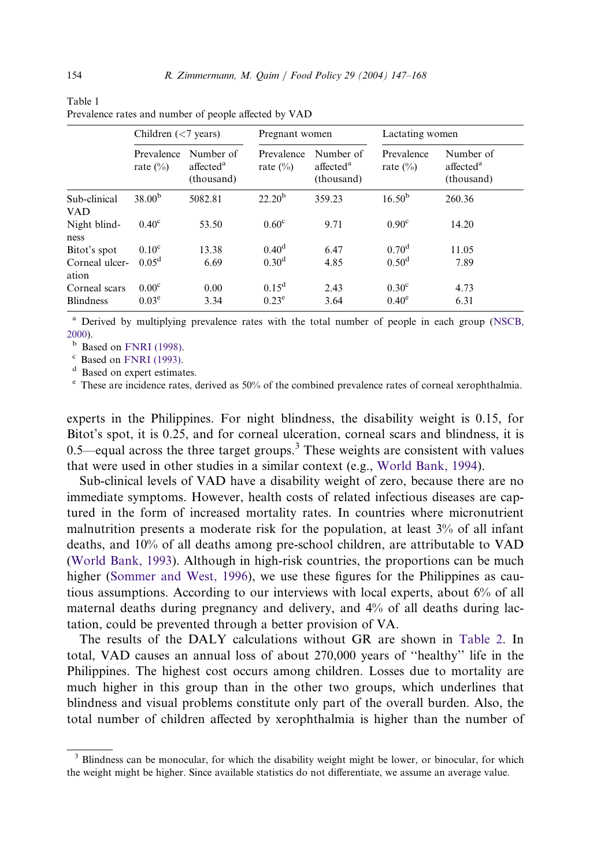|                         | Children $(< 7$ years)     |                                                  | Pregnant women            |                                                  | Lactating women           |                                                  |  |
|-------------------------|----------------------------|--------------------------------------------------|---------------------------|--------------------------------------------------|---------------------------|--------------------------------------------------|--|
|                         | Prevalence<br>rate $(\% )$ | Number of<br>affected <sup>a</sup><br>(thousand) | Prevalence<br>rate $(\%)$ | Number of<br>affected <sup>a</sup><br>(thousand) | Prevalence<br>rate $(\%)$ | Number of<br>affected <sup>a</sup><br>(thousand) |  |
| Sub-clinical            | 38.00 <sup>b</sup>         | 5082.81                                          | $22.20^{\rm b}$           | 359.23                                           | $16.50^{b}$               | 260.36                                           |  |
| <b>VAD</b>              |                            |                                                  |                           |                                                  |                           |                                                  |  |
| Night blind-<br>ness    | $0.40^\circ$               | 53.50                                            | $0.60^{\circ}$            | 9.71                                             | $0.90^\circ$              | 14.20                                            |  |
| Bitot's spot            | 0.10 <sup>c</sup>          | 13.38                                            | $0.40^{\rm d}$            | 6.47                                             | $0.70^{\rm d}$            | 11.05                                            |  |
| Corneal ulcer-<br>ation | $0.05^{\rm d}$             | 6.69                                             | 0.30 <sup>d</sup>         | 4.85                                             | $0.50^{\rm d}$            | 7.89                                             |  |
| Corneal scars           | 0.00 <sup>c</sup>          | 0.00                                             | $0.15^{\rm d}$            | 2.43                                             | 0.30 <sup>c</sup>         | 4.73                                             |  |
| <b>Blindness</b>        | $0.03^e$                   | 3.34                                             | $0.23^e$                  | 3.64                                             | $0.40^\circ$              | 6.31                                             |  |

<span id="page-7-0"></span>Table 1 Prevalence rates and number of people affected by VAD

 $a$  Derived by multiplying prevalence rates with the total number of people in each group ([NSCB,](#page-20-0)  $2000$ ).

<sup>b</sup> Based on [FNRI \(1998\)](#page-20-0).<br><sup>c</sup> Based on [FNRI \(1993\).](#page-20-0) <sup>d</sup> Based on expert estimates.

<sup>e</sup> These are incidence rates, derived as 50% of the combined prevalence rates of corneal xerophthalmia.

experts in the Philippines. For night blindness, the disability weight is 0.15, for Bitot's spot, it is 0.25, and for corneal ulceration, corneal scars and blindness, it is  $0.5$ —equal across the three target groups.<sup>3</sup> These weights are consistent with values that were used in other studies in a similar context (e.g., [World Bank, 1994](#page-21-0)).

Sub-clinical levels of VAD have a disability weight of zero, because there are no immediate symptoms. However, health costs of related infectious diseases are captured in the form of increased mortality rates. In countries where micronutrient malnutrition presents a moderate risk for the population, at least 3% of all infant deaths, and 10% of all deaths among pre-school children, are attributable to VAD ([World Bank, 1993\)](#page-21-0). Although in high-risk countries, the proportions can be much higher ([Sommer and West, 1996](#page-20-0)), we use these figures for the Philippines as cautious assumptions. According to our interviews with local experts, about 6% of all maternal deaths during pregnancy and delivery, and 4% of all deaths during lactation, could be prevented through a better provision of VA.

The results of the DALY calculations without GR are shown in [Table 2](#page-8-0). In total, VAD causes an annual loss of about 270,000 years of ''healthy'' life in the Philippines. The highest cost occurs among children. Losses due to mortality are much higher in this group than in the other two groups, which underlines that blindness and visual problems constitute only part of the overall burden. Also, the total number of children affected by xerophthalmia is higher than the number of

<sup>&</sup>lt;sup>3</sup> Blindness can be monocular, for which the disability weight might be lower, or binocular, for which the weight might be higher. Since available statistics do not differentiate, we assume an average value.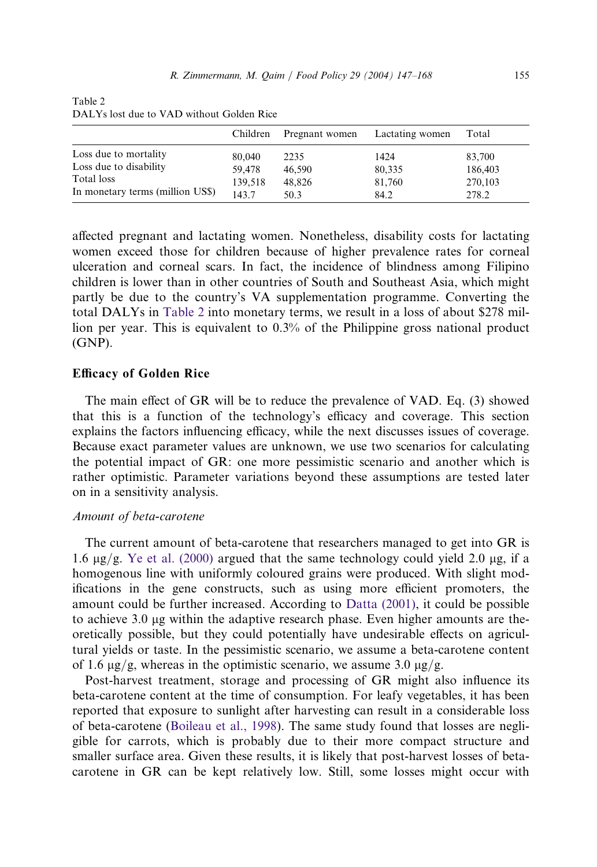|                                  | Children | Pregnant women | Lactating women | Total   |
|----------------------------------|----------|----------------|-----------------|---------|
| Loss due to mortality            | 80,040   | 2235           | 1424            | 83,700  |
| Loss due to disability           | 59.478   | 46.590         | 80,335          | 186,403 |
| Total loss                       | 139.518  | 48.826         | 81,760          | 270,103 |
| In monetary terms (million US\$) | 143.7    | 50.3           | 84.2            | 278.2   |

<span id="page-8-0"></span>Table 2 DALYs lost due to VAD without Golden Rice

affected pregnant and lactating women. Nonetheless, disability costs for lactating women exceed those for children because of higher prevalence rates for corneal ulceration and corneal scars. In fact, the incidence of blindness among Filipino children is lower than in other countries of South and Southeast Asia, which might partly be due to the country's VA supplementation programme. Converting the total DALYs in Table 2 into monetary terms, we result in a loss of about \$278 million per year. This is equivalent to 0.3% of the Philippine gross national product (GNP).

## Efficacy of Golden Rice

The main effect of GR will be to reduce the prevalence of VAD. Eq. (3) showed that this is a function of the technology's efficacy and coverage. This section explains the factors influencing efficacy, while the next discusses issues of coverage. Because exact parameter values are unknown, we use two scenarios for calculating the potential impact of GR: one more pessimistic scenario and another which is rather optimistic. Parameter variations beyond these assumptions are tested later on in a sensitivity analysis.

## Amount of beta-carotene

The current amount of beta-carotene that researchers managed to get into GR is 1.6  $\mu$ g/g. [Ye et al. \(2000\)](#page-21-0) argued that the same technology could yield 2.0  $\mu$ g, if a homogenous line with uniformly coloured grains were produced. With slight modifications in the gene constructs, such as using more efficient promoters, the amount could be further increased. According to [Datta \(2001\)](#page-20-0), it could be possible to achieve 3.0 µg within the adaptive research phase. Even higher amounts are theoretically possible, but they could potentially have undesirable effects on agricultural yields or taste. In the pessimistic scenario, we assume a beta-carotene content of 1.6  $\mu$ g/g, whereas in the optimistic scenario, we assume 3.0  $\mu$ g/g.

Post-harvest treatment, storage and processing of GR might also influence its beta-carotene content at the time of consumption. For leafy vegetables, it has been reported that exposure to sunlight after harvesting can result in a considerable loss of beta-carotene ([Boileau et al., 1998](#page-19-0)). The same study found that losses are negligible for carrots, which is probably due to their more compact structure and smaller surface area. Given these results, it is likely that post-harvest losses of betacarotene in GR can be kept relatively low. Still, some losses might occur with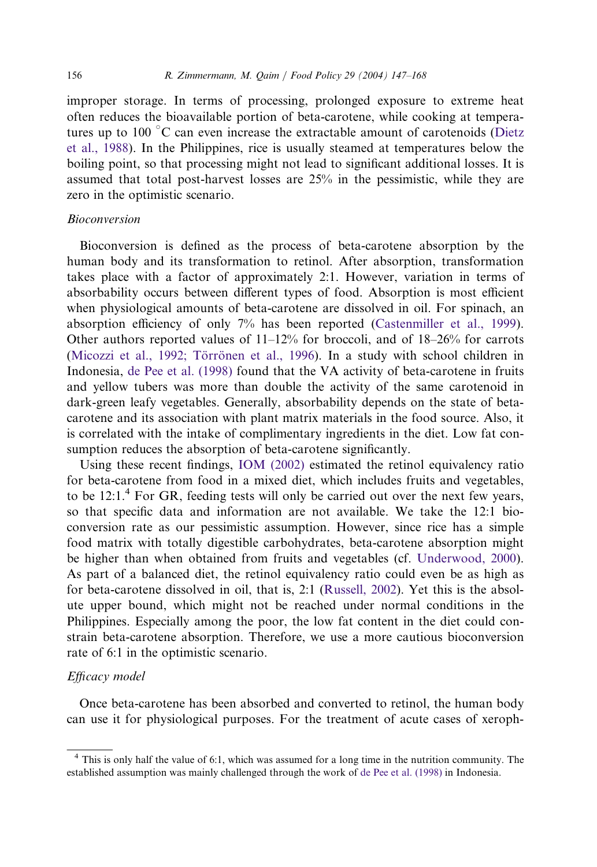improper storage. In terms of processing, prolonged exposure to extreme heat often reduces the bioavailable portion of beta-carotene, while cooking at temperatures up to  $100\text{ °C}$  can even increase the extractable amount of carotenoids [\(Dietz](#page-20-0) [et al., 1988\)](#page-20-0). In the Philippines, rice is usually steamed at temperatures below the boiling point, so that processing might not lead to significant additional losses. It is assumed that total post-harvest losses are 25% inthe pessimistic, while they are zero in the optimistic scenario.

## Bioconversion

Bioconversion is defined as the process of beta-carotene absorption by the human body and its transformation to retinol. After absorption, transformation takes place with a factor of approximately 2:1. However, variation in terms of absorbability occurs between different types of food. Absorption is most efficient when physiological amounts of beta-carotene are dissolved in oil. For spinach, an absorption efficiency of only 7% has been reported ([Castenmiller et al., 1999\)](#page-19-0). Other authors reported values of  $11-12\%$  for broccoli, and of  $18-26\%$  for carrots (Micozzi et al., 1992; Törrönen et al., 1996). In a study with school children in Indonesia, [de Pee et al. \(1998\)](#page-20-0) found that the VA activity of beta-carotene in fruits and yellow tubers was more than double the activity of the same carotenoid in dark-green leafy vegetables. Generally, absorbability depends on the state of betacarotene and its association with plant matrix materials in the food source. Also, it is correlated with the intake of complimentary ingredients in the diet. Low fat consumption reduces the absorption of beta-carotene significantly.

Using these recent findings, [IOM \(2002\)](#page-20-0) estimated the retinol equivalency ratio for beta-carotene from food in a mixed diet, which includes fruits and vegetables, to be 12:1.<sup>4</sup> For GR, feeding tests will only be carried out over the next few years, so that specific data and information are not available. We take the 12:1 bioconversion rate as our pessimistic assumption. However, since rice has a simple food matrix with totally digestible carbohydrates, beta-carotene absorption might be higher than when obtained from fruits and vegetables (cf. [Underwood, 2000\)](#page-20-0). As part of a balanced diet, the retinol equivalency ratio could even be as high as for beta-carotene dissolved in oil, that is, 2:1 [\(Russell, 2002](#page-20-0)). Yet this is the absolute upper bound, which might not be reached under normal conditions in the Philippines. Especially among the poor, the low fat content in the diet could constrain beta-carotene absorption. Therefore, we use a more cautious bioconversion rate of 6:1 in the optimistic scenario.

## Efficacy model

Once beta-carotene has been absorbed and converted to retinol, the human body can use it for physiological purposes. For the treatment of acute cases of xeroph-

<sup>4</sup> This is only half the value of 6:1, which was assumed for a long time in the nutrition community. The established assumption was mainly challenged through the work of [de Pee et al. \(1998\)](#page-20-0) in Indonesia.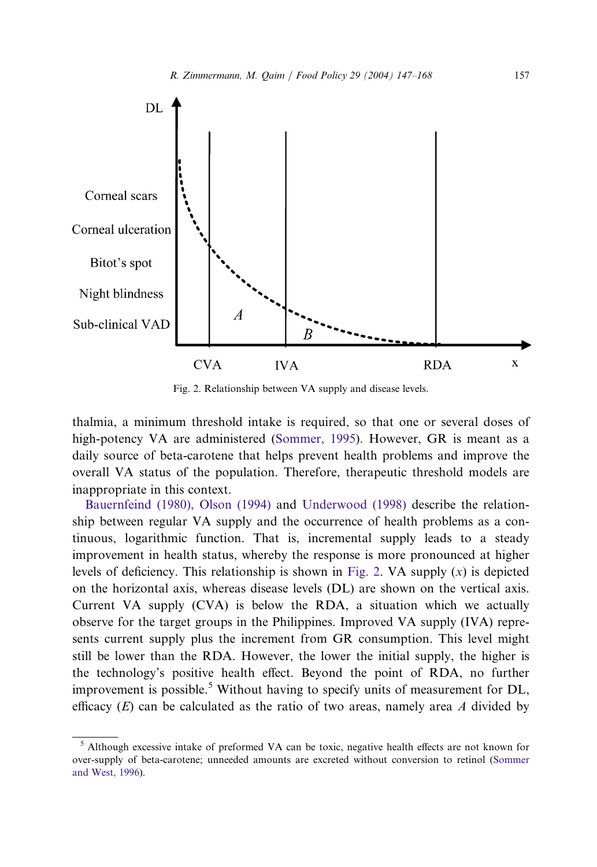

Fig. 2. Relationship between VA supply and disease levels.

thalmia, a minimum threshold intake is required, so that one or several doses of high-potency VA are administered [\(Sommer, 1995\)](#page-20-0). However, GR is meant as a daily source of beta-carotene that helps prevent health problems and improve the overall VA status of the population. Therefore, therapeutic threshold models are inappropriate in this context.

[Bauernfeind \(1980\), Olson \(1994\)](#page-19-0) and [Underwood \(1998\)](#page-20-0) describe the relationship between regular VA supply and the occurrence of health problems as a continuous, logarithmic function. That is, incremental supply leads to a steady improvement in health status, whereby the response is more pronounced at higher levels of deficiency. This relationship is shown in Fig. 2. VA supply  $(x)$  is depicted on the horizontal axis, whereas disease levels (DL) are shown on the vertical axis. Current VA supply (CVA) is below the RDA, a situation which we actually observe for the target groups inthe Philippines. Improved VA supply (IVA) represents current supply plus the increment from GR consumption. This level might still be lower than the RDA. However, the lower the initial supply, the higher is the technology's positive health effect. Beyond the point of RDA, no further improvement is possible.<sup>5</sup> Without having to specify units of measurement for DL, efficacy  $(E)$  can be calculated as the ratio of two areas, namely area A divided by

 $<sup>5</sup>$  Although excessive intake of preformed VA can be toxic, negative health effects are not known for</sup> over-supply of beta-carotene; unneeded amounts are excreted without conversion to retinol ([Sommer](#page-20-0) [and West, 1996](#page-20-0)).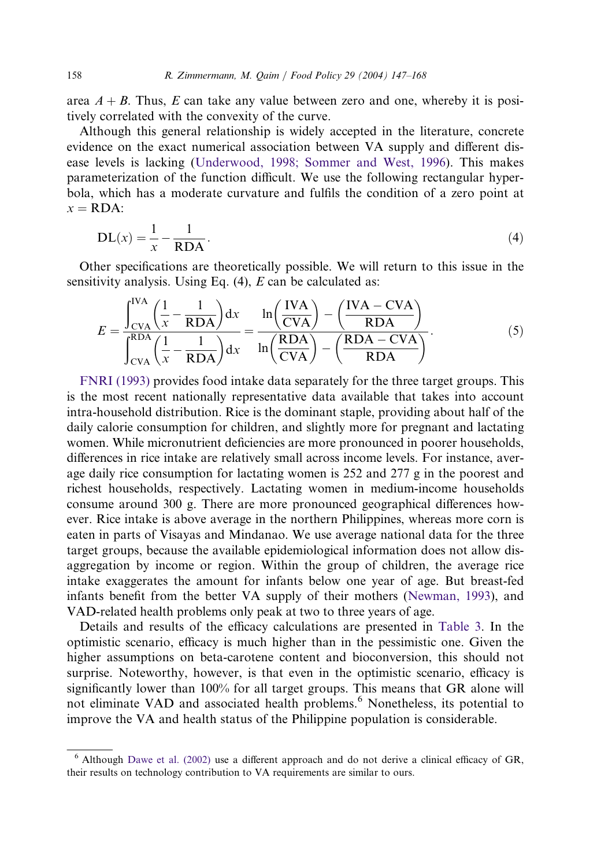area  $A + B$ . Thus, E can take any value between zero and one, whereby it is positively correlated with the convexity of the curve.

Although this general relationship is widely accepted in the literature, concrete evidence on the exact numerical association between VA supply and different disease levels is lacking ([Underwood, 1998; Sommer and West, 1996\)](#page-20-0). This makes parameterization of the function difficult. We use the following rectangular hyperbola, which has a moderate curvature and fulfils the condition of a zero point at  $x = RDA$ :

$$
DL(x) = \frac{1}{x} - \frac{1}{RDA}.
$$
\n(4)

Other specifications are theoretically possible. We will return to this issue in the sensitivity analysis. Using Eq.  $(4)$ , E can be calculated as:

$$
E = \frac{\int_{CVA}^{IVA} \left(\frac{1}{x} - \frac{1}{RDA}\right) dx}{\int_{CVA}^{RDA} \left(\frac{1}{x} - \frac{1}{RDA}\right) dx} = \frac{\ln\left(\frac{IVA}{CVA}\right) - \left(\frac{IVA - CVA}{RDA}\right)}{\ln\left(\frac{RDA}{CVA}\right) - \left(\frac{RDA - CVA}{RDA}\right)}.
$$
(5)

[FNRI \(1993\)](#page-20-0) provides food intake data separately for the three target groups. This is the most recent nationally representative data available that takes into account intra-household distribution. Rice is the dominant staple, providing about half of the daily calorie consumption for children, and slightly more for pregnant and lactating women. While micronutrient deficiencies are more pronounced in poorer households, differences in rice intake are relatively small across income levels. For instance, average daily rice consumption for lactating women is 252 and 277 g in the poorest and richest households, respectively. Lactating women in medium-income households consume around 300 g. There are more pronounced geographical differences however. Rice intake is above average in the northern Philippines, whereas more corn is eaten in parts of Visayas and Mindanao. We use average national data for the three target groups, because the available epidemiological information does not allow disaggregation by income or region. Within the group of children, the average rice intake exaggerates the amount for infants below one year of age. But breast-fed infants benefit from the better VA supply of their mothers ([Newman, 1993\)](#page-20-0), and VAD-related health problems only peak at two to three years of age.

Details and results of the efficacy calculations are presented in [Table 3](#page-12-0). In the optimistic scenario, efficacy is much higher than in the pessimistic one. Given the higher assumptions on beta-carotene content and bioconversion, this should not surprise. Noteworthy, however, is that even in the optimistic scenario, efficacy is significantly lower than 100% for all target groups. This means that GR alone will not eliminate VAD and associated health problems.<sup>6</sup> Nonetheless, its potential to improve the VA and health status of the Philippine population is considerable.

<sup>6</sup> Although [Dawe et al. \(2002\)](#page-20-0) use a different approach and do not derive a clinical efficacy of GR, their results on technology contribution to VA requirements are similar to ours.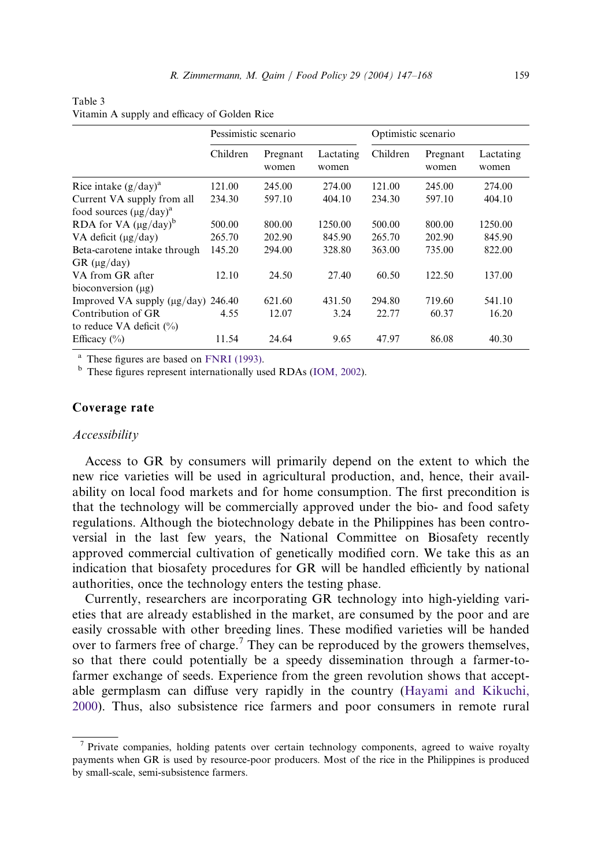|                                         | Pessimistic scenario |                   |                    | Optimistic scenario |                   |                    |
|-----------------------------------------|----------------------|-------------------|--------------------|---------------------|-------------------|--------------------|
|                                         | Children             | Pregnant<br>women | Lactating<br>women | Children            | Pregnant<br>women | Lactating<br>women |
| Rice intake $(g/day)^a$                 | 121.00               | 245.00            | 274.00             | 121.00              | 245.00            | 274.00             |
| Current VA supply from all              | 234.30               | 597.10            | 404.10             | 234.30              | 597.10            | 404.10             |
| food sources $(\mu g / day)^a$          |                      |                   |                    |                     |                   |                    |
| RDA for VA $(\mu g / day)^b$            | 500.00               | 800.00            | 1250.00            | 500.00              | 800.00            | 1250.00            |
| VA deficit $(\mu g / \text{day})$       | 265.70               | 202.90            | 845.90             | 265.70              | 202.90            | 845.90             |
| Beta-carotene intake through            | 145.20               | 294.00            | 328.80             | 363.00              | 735.00            | 822.00             |
| $GR \mu g/day)$                         |                      |                   |                    |                     |                   |                    |
| VA from GR after                        | 12.10                | 24.50             | 27.40              | 60.50               | 122.50            | 137.00             |
| bioconversion $(\mu g)$                 |                      |                   |                    |                     |                   |                    |
| Improved VA supply $(\mu g/day)$ 246.40 |                      | 621.60            | 431.50             | 294.80              | 719.60            | 541.10             |
| Contribution of GR                      | 4.55                 | 12.07             | 3.24               | 22.77               | 60.37             | 16.20              |
| to reduce VA deficit $(\%)$             |                      |                   |                    |                     |                   |                    |
| Efficacy $(\% )$                        | 11.54                | 24.64             | 9.65               | 47.97               | 86.08             | 40.30              |

<span id="page-12-0"></span>Table 3 Vitamin A supply and efficacy of Golden Rice

<sup>a</sup> These figures are based on [FNRI \(1993\)](#page-20-0).<br><sup>b</sup> These figures represent internationally used RDAs ([IOM, 2002](#page-20-0)).

## Coverage rate

## Accessibility

Access to GR by consumers will primarily depend on the extent to which the new rice varieties will be used in agricultural production, and, hence, their availability on local food markets and for home consumption. The first precondition is that the technology will be commercially approved under the bio- and food safety regulations. Although the biotechnology debate in the Philippines has been controversial in the last few years, the National Committee on Biosafety recently approved commercial cultivation of genetically modified corn. We take this as an indication that biosafety procedures for GR will be handled efficiently by national authorities, once the technology enters the testing phase.

Currently, researchers are incorporating GR technology into high-yielding varieties that are already established inthe market, are consumed by the poor and are easily crossable with other breeding lines. These modified varieties will be handed over to farmers free of charge.<sup>7</sup> They can be reproduced by the growers themselves, so that there could potentially be a speedy dissemination through a farmer-tofarmer exchange of seeds. Experience from the green revolution shows that acceptable germplasm candiffuse very rapidly inthe country [\(Hayami and Kikuchi,](#page-20-0) [2000\)](#page-20-0). Thus, also subsistence rice farmers and poor consumers in remote rural

 $<sup>7</sup>$  Private companies, holding patents over certain technology components, agreed to waive royalty</sup> payments when GR is used by resource-poor producers. Most of the rice in the Philippines is produced by small-scale, semi-subsistence farmers.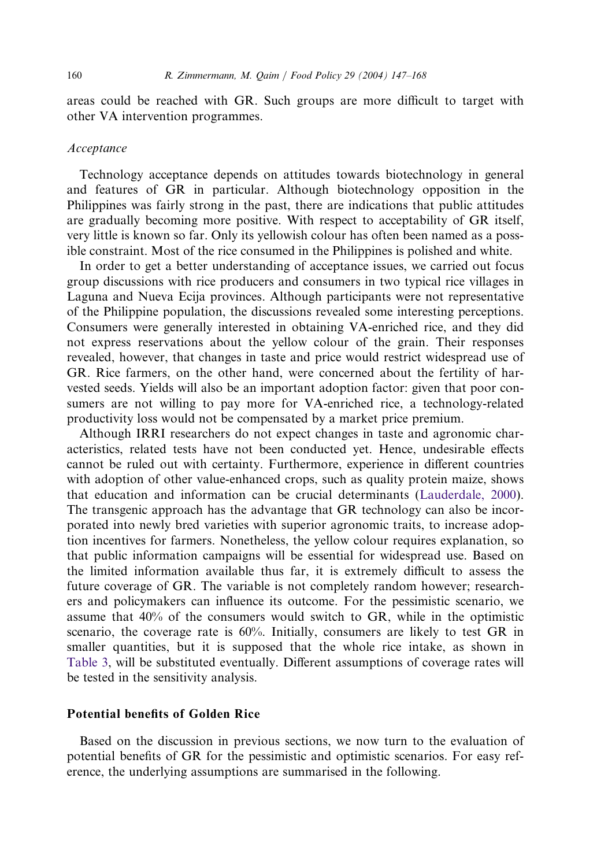areas could be reached with GR. Such groups are more difficult to target with other VA intervention programmes.

## Acceptance

Technology acceptance depends on attitudes towards biotechnology in general and features of GR in particular. Although biotechnology opposition in the Philippines was fairly strong in the past, there are indications that public attitudes are gradually becoming more positive. With respect to acceptability of GR itself, very little is known so far. Only its yellowish colour has often been named as a possible constraint. Most of the rice consumed in the Philippines is polished and white.

In order to get a better understanding of acceptance issues, we carried out focus group discussions with rice producers and consumers in two typical rice villages in Laguna and Nueva Ecija provinces. Although participants were not representative of the Philippine population, the discussions revealed some interesting perceptions. Consumers were generally interested in obtaining VA-enriched rice, and they did not express reservations about the yellow colour of the grain. Their responses revealed, however, that changes in taste and price would restrict widespread use of GR. Rice farmers, on the other hand, were concerned about the fertility of harvested seeds. Yields will also be an important adoption factor: given that poor consumers are not willing to pay more for VA-enriched rice, a technology-related productivity loss would not be compensated by a market price premium.

Although IRRI researchers do not expect changes in taste and agronomic characteristics, related tests have not been conducted yet. Hence, undesirable effects cannot be ruled out with certainty. Furthermore, experience in different countries with adoption of other value-enhanced crops, such as quality protein maize, shows that education and information can be crucial determinants [\(Lauderdale, 2000\)](#page-20-0). The transgenic approach has the advantage that GR technology can also be incorporated into newly bred varieties with superior agronomic traits, to increase adoption incentives for farmers. Nonetheless, the yellow colour requires explanation, so that public information campaigns will be essential for widespread use. Based on the limited information available thus far, it is extremely difficult to assess the future coverage of GR. The variable is not completely random however; researchers and policymakers can influence its outcome. For the pessimistic scenario, we assume that 40% of the consumers would switch to GR, while in the optimistic scenario, the coverage rate is 60%. Initially, consumers are likely to test GR in smaller quantities, but it is supposed that the whole rice intake, as shown in [Table 3,](#page-12-0) will be substituted eventually. Different assumptions of coverage rates will be tested in the sensitivity analysis.

## Potential benefits of Golden Rice

Based on the discussion in previous sections, we now turn to the evaluation of potential benefits of GR for the pessimistic and optimistic scenarios. For easy reference, the underlying assumptions are summarised in the following.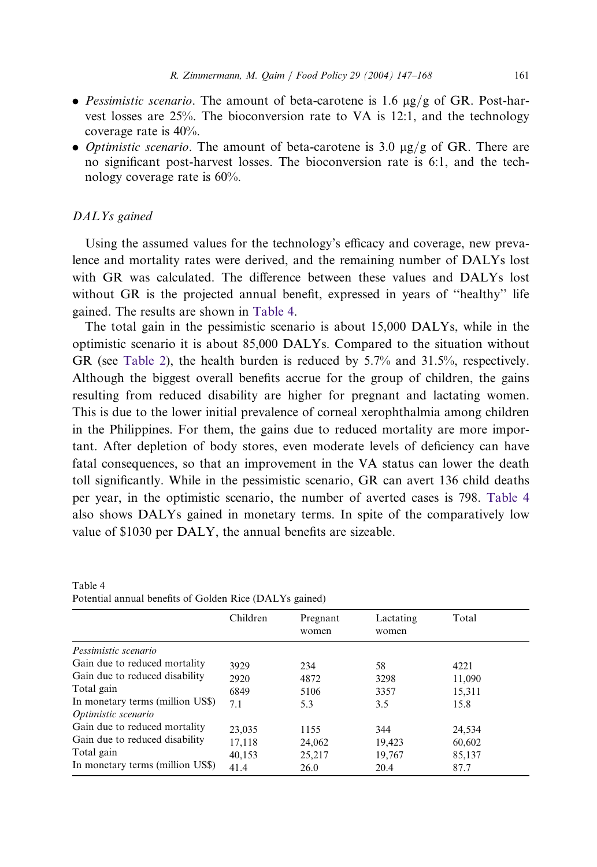- Pessimistic scenario. The amount of beta-carotene is 1.6  $\mu$ g/g of GR. Post-harvest losses are 25%. The bioconversion rate to VA is 12:1, and the technology coverage rate is 40%.
- *Optimistic scenario*. The amount of beta-carotene is 3.0  $\mu$ g/g of GR. There are no significant post-harvest losses. The bioconversion rate is 6:1, and the technology coverage rate is 60%.

## DALYs gained

Using the assumed values for the technology's efficacy and coverage, new prevalence and mortality rates were derived, and the remaining number of DALYs lost with GR was calculated. The difference between these values and DALYs lost without GR is the projected annual benefit, expressed in years of ''healthy'' life gained. The results are shown in Table 4.

The total gain in the pessimistic scenario is about 15,000 DALYs, while in the optimistic scenario it is about 85,000 DALYs. Compared to the situation without GR (see [Table 2](#page-8-0)), the health burden is reduced by  $5.7\%$  and  $31.5\%$ , respectively. Although the biggest overall benefits accrue for the group of children, the gains resulting from reduced disability are higher for pregnant and lactating women. This is due to the lower initial prevalence of corneal xerophthalmia among children in the Philippines. For them, the gains due to reduced mortality are more important. After depletion of body stores, even moderate levels of deficiency can have fatal consequences, so that an improvement in the VA status can lower the death toll significantly. While in the pessimistic scenario, GR can avert 136 child deaths per year, in the optimistic scenario, the number of averted cases is 798. Table 4 also shows DALYs gained in monetary terms. In spite of the comparatively low value of \$1030 per DALY, the annual benefits are sizeable.

|                                                         | Children | Pregnant<br>women | Lactating<br>women | Total  |
|---------------------------------------------------------|----------|-------------------|--------------------|--------|
| Pessimistic scenario                                    |          |                   |                    |        |
| Gain due to reduced mortality                           | 3929     | 234               | 58                 | 4221   |
| Gain due to reduced disability                          | 2920     | 4872              | 3298               | 11,090 |
| Total gain                                              | 6849     | 5106              | 3357               | 15,311 |
| In monetary terms (million US\$)<br>Optimistic scenario | 7.1      | 5.3               | 3.5                | 15.8   |
| Gain due to reduced mortality                           | 23,035   | 1155              | 344                | 24,534 |
| Gain due to reduced disability                          | 17,118   | 24,062            | 19,423             | 60,602 |
| Total gain                                              | 40,153   | 25,217            | 19,767             | 85,137 |
| In monetary terms (million US\$)                        | 41.4     | 26.0              | 20.4               | 87.7   |

Table 4 Potential annual benefits of Golden Rice (DALYs gained)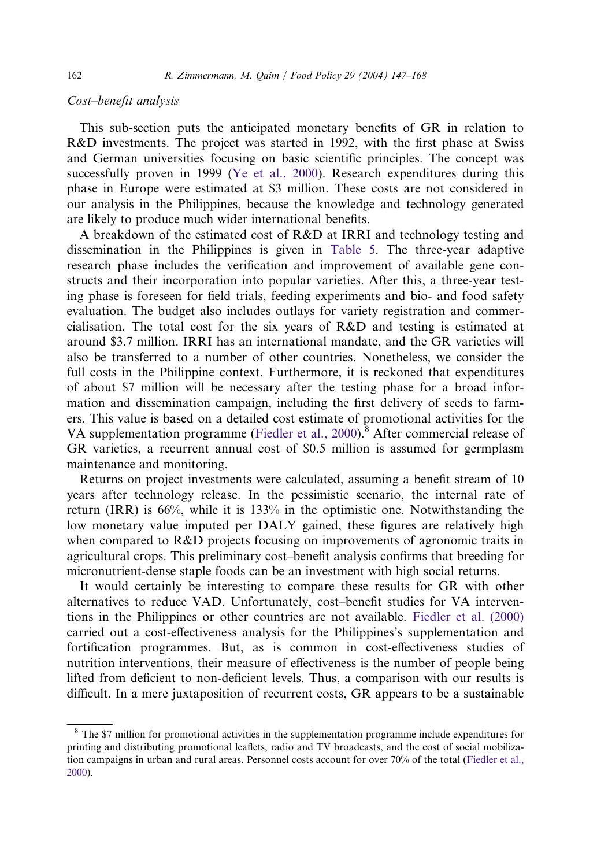## Cost–benefit analysis

This sub-section puts the anticipated monetary benefits of GR in relation to R&D investments. The project was started in 1992, with the first phase at Swiss and German universities focusing on basic scientific principles. The concept was successfully proven in 1999 [\(Ye et al., 2000](#page-21-0)). Research expenditures during this phase in Europe were estimated at \$3 million. These costs are not considered in our analysis in the Philippines, because the knowledge and technology generated are likely to produce much wider international benefits.

A breakdown of the estimated cost of R&D at IRRI and technology testing and dissemination in the Philippines is given in [Table 5](#page-16-0). The three-year adaptive research phase includes the verification and improvement of available gene constructs and their incorporation into popular varieties. After this, a three-year testing phase is foreseen for field trials, feeding experiments and bio- and food safety evaluation. The budget also includes outlays for variety registration and commercialisation. The total cost for the six years of R&D and testing is estimated at around \$3.7 million. IRRI has an international mandate, and the GR varieties will also be transferred to a number of other countries. Nonetheless, we consider the full costs in the Philippine context. Furthermore, it is reckoned that expenditures of about \$7 million will be necessary after the testing phase for a broad information and dissemination campaign, including the first delivery of seeds to farmers. This value is based on a detailed cost estimate of promotional activities for the VA supplementation programme ([Fiedler et al., 2000](#page-20-0)).<sup>8</sup> After commercial release of GR varieties, a recurrent annual cost of \$0.5 million is assumed for germplasm maintenance and monitoring.

Returns on project investments were calculated, assuming a benefit stream of 10 years after technology release. In the pessimistic scenario, the internal rate of return (IRR) is 66%, while it is 133% in the optimistic one. Notwithstanding the low monetary value imputed per DALY gained, these figures are relatively high when compared to R&D projects focusing on improvements of agronomic traits in agricultural crops. This preliminary cost–benefit analysis confirms that breeding for micronutrient-dense staple foods can be an investment with high social returns.

It would certainly be interesting to compare these results for GR with other alternatives to reduce VAD. Unfortunately, cost–benefit studies for VA interventions in the Philippines or other countries are not available. [Fiedler et al. \(2000\)](#page-20-0) carried out a cost-effectiveness analysis for the Philippines's supplementation and fortification programmes. But, as is common in cost-effectiveness studies of nutrition interventions, their measure of effectiveness is the number of people being lifted from deficient to non-deficient levels. Thus, a comparison with our results is difficult. In a mere juxtaposition of recurrent costs, GR appears to be a sustainable

<sup>8</sup> The \$7 million for promotional activities in the supplementation programme include expenditures for printing and distributing promotional leaflets, radio and TV broadcasts, and the cost of social mobilization campaigns in urban and rural areas. Personnel costs account for over 70% of the total ([Fiedler et al.,](#page-20-0) [2000](#page-20-0)).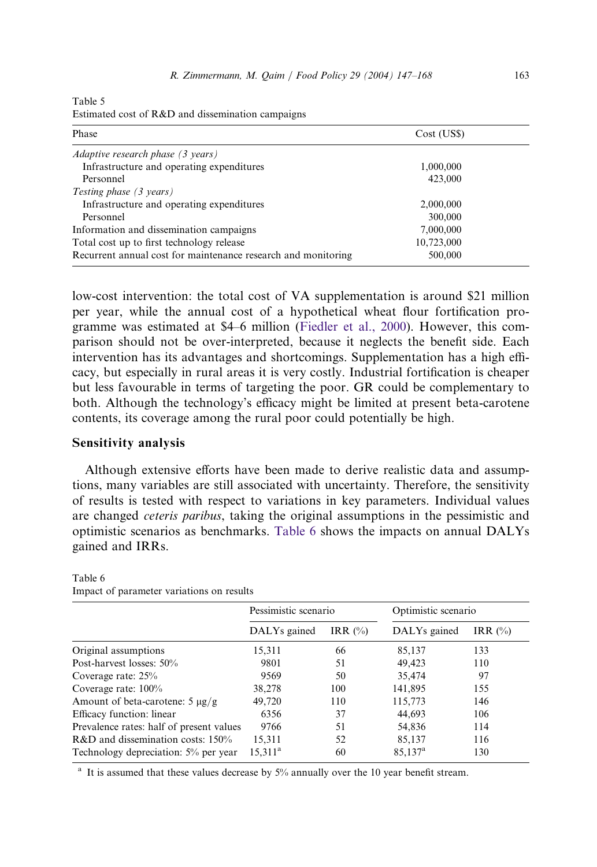| Phase                                                         | Cost (USS) |  |
|---------------------------------------------------------------|------------|--|
| Adaptive research phase (3 years)                             |            |  |
| Infrastructure and operating expenditures                     | 1,000,000  |  |
| Personnel                                                     | 423,000    |  |
| Testing phase (3 years)                                       |            |  |
| Infrastructure and operating expenditures                     | 2,000,000  |  |
| Personnel                                                     | 300,000    |  |
| Information and dissemination campaigns                       | 7,000,000  |  |
| Total cost up to first technology release                     | 10,723,000 |  |
| Recurrent annual cost for maintenance research and monitoring | 500,000    |  |
|                                                               |            |  |

<span id="page-16-0"></span>Table 5

Estimated cost of R&D and dissemination campaigns

low-cost intervention: the total cost of VA supplementation is around \$21 million per year, while the annual cost of a hypothetical wheat flour fortification programme was estimated at \$4–6 million[\(Fiedler et al., 2000\)](#page-20-0). However, this comparison should not be over-interpreted, because it neglects the benefit side. Each intervention has its advantages and shortcomings. Supplementation has a high efficacy, but especially in rural areas it is very costly. Industrial fortification is cheaper but less favourable in terms of targeting the poor. GR could be complementary to both. Although the technology's efficacy might be limited at present beta-carotene contents, its coverage among the rural poor could potentially be high.

## Sensitivity analysis

Although extensive efforts have been made to derive realistic data and assumptions, many variables are still associated with uncertainty. Therefore, the sensitivity of results is tested with respect to variations in key parameters. Individual values are changed ceteris paribus, taking the original assumptions in the pessimistic and optimistic scenarios as benchmarks. Table 6 shows the impacts onannual DALYs gained and IRRs.

|                                          | Pessimistic scenario |            | Optimistic scenario |            |
|------------------------------------------|----------------------|------------|---------------------|------------|
|                                          | DALYs gained         | IRR $(\%)$ | DALYs gained        | IRR $(\%)$ |
| Original assumptions                     | 15,311               | 66         | 85,137              | 133        |
| Post-harvest losses: 50%                 | 9801                 | 51         | 49,423              | 110        |
| Coverage rate: 25%                       | 9569                 | 50         | 35,474              | 97         |
| Coverage rate: 100%                      | 38,278               | 100        | 141,895             | 155        |
| Amount of beta-carotene: $5 \mu g/g$     | 49,720               | 110        | 115,773             | 146        |
| Efficacy function: linear                | 6356                 | 37         | 44,693              | 106        |
| Prevalence rates: half of present values | 9766                 | 51         | 54.836              | 114        |
| $R&D$ and dissemination costs: 150%      | 15,311               | 52         | 85,137              | 116        |
| Technology depreciation: 5% per year     | $15,311^{\rm a}$     | 60         | $85,137^{\rm a}$    | 130        |

Table 6 Impact of parameter variations on results

<sup>a</sup> It is assumed that these values decrease by 5% annually over the 10 year benefit stream.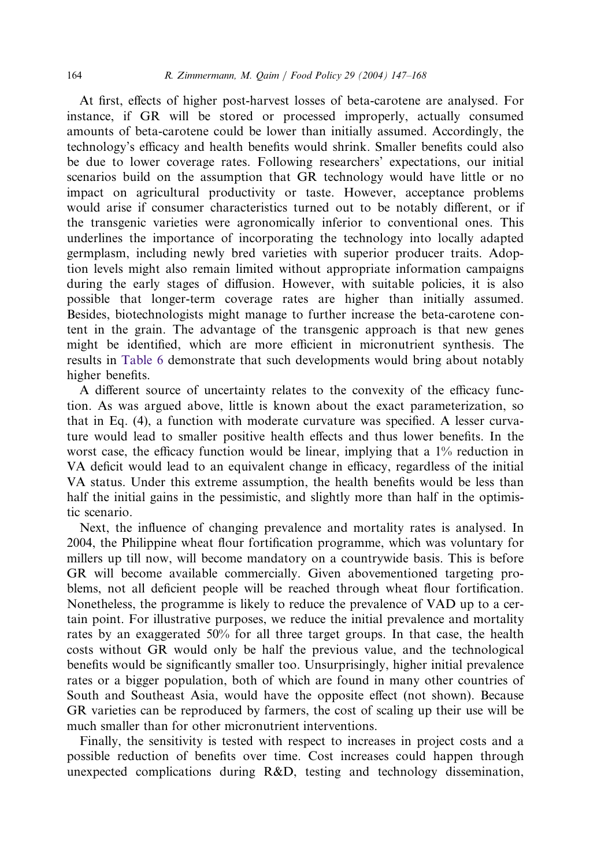At first, effects of higher post-harvest losses of beta-carotene are analysed. For instance, if GR will be stored or processed improperly, actually consumed amounts of beta-carotene could be lower than initially assumed. Accordingly, the technology's efficacy and health benefits would shrink. Smaller benefits could also be due to lower coverage rates. Following researchers' expectations, our initial scenarios build on the assumption that GR technology would have little or no impact on agricultural productivity or taste. However, acceptance problems would arise if consumer characteristics turned out to be notably different, or if the transgenic varieties were agronomically inferior to conventional ones. This underlines the importance of incorporating the technology into locally adapted germplasm, including newly bred varieties with superior producer traits. Adoption levels might also remain limited without appropriate information campaigns during the early stages of diffusion. However, with suitable policies, it is also possible that longer-term coverage rates are higher than initially assumed. Besides, biotechnologists might manage to further increase the beta-carotene content in the grain. The advantage of the transgenic approach is that new genes might be identified, which are more efficient in micronutrient synthesis. The results in [Table 6](#page-16-0) demonstrate that such developments would bring about notably higher benefits.

A different source of uncertainty relates to the convexity of the efficacy function. As was argued above, little is known about the exact parameterization, so that in Eq.  $(4)$ , a function with moderate curvature was specified. A lesser curvature would lead to smaller positive health effects and thus lower benefits. In the worst case, the efficacy function would be linear, implying that a 1% reduction in VA deficit would lead to an equivalent change in efficacy, regardless of the initial VA status. Under this extreme assumption, the health benefits would be less than half the initial gains in the pessimistic, and slightly more than half in the optimistic scenario.

Next, the influence of changing prevalence and mortality rates is analysed. In 2004, the Philippine wheat flour fortification programme, which was voluntary for millers up till now, will become mandatory on a countrywide basis. This is before GR will become available commercially. Given abovementioned targeting problems, not all deficient people will be reached through wheat flour fortification. Nonetheless, the programme is likely to reduce the prevalence of VAD up to a certain point. For illustrative purposes, we reduce the initial prevalence and mortality rates by an exaggerated 50% for all three target groups. In that case, the health costs without GR would only be half the previous value, and the technological benefits would be significantly smaller too. Unsurprisingly, higher initial prevalence rates or a bigger population, both of which are found in many other countries of South and Southeast Asia, would have the opposite effect (not shown). Because GR varieties canbe reproduced by farmers, the cost of scaling up their use will be much smaller than for other micronutrient interventions.

Finally, the sensitivity is tested with respect to increases in project costs and a possible reduction of benefits over time. Cost increases could happen through unexpected complications during R&D, testing and technology dissemination,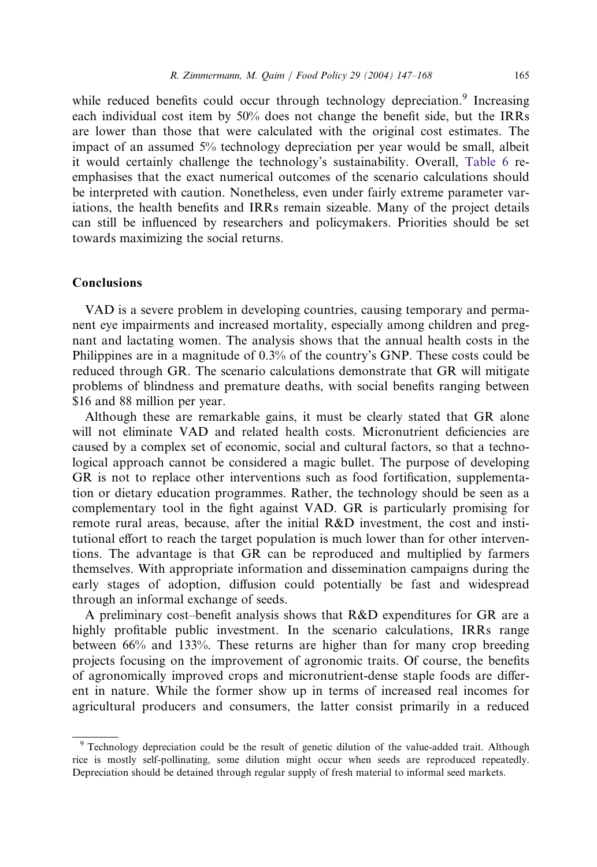while reduced benefits could occur through technology depreciation.<sup>9</sup> Increasing each individual cost item by 50% does not change the benefit side, but the IRRs are lower than those that were calculated with the original cost estimates. The impact of an assumed 5% technology depreciation per year would be small, albeit it would certainly challenge the technology's sustainability. Overall, [Table 6](#page-16-0) reemphasises that the exact numerical outcomes of the scenario calculations should be interpreted with caution. Nonetheless, even under fairly extreme parameter variations, the health benefits and IRRs remain sizeable. Many of the project details can still be influenced by researchers and policymakers. Priorities should be set towards maximizing the social returns.

## Conclusions

VAD is a severe problem in developing countries, causing temporary and permanent eye impairments and increased mortality, especially among children and pregnant and lactating women. The analysis shows that the annual health costs in the Philippines are in a magnitude of 0.3% of the country's GNP. These costs could be reduced through GR. The scenario calculations demonstrate that GR will mitigate problems of blindness and premature deaths, with social benefits ranging between \$16 and 88 million per year.

Although these are remarkable gains, it must be clearly stated that GR alone will not eliminate VAD and related health costs. Micronutrient deficiencies are caused by a complex set of economic, social and cultural factors, so that a technological approach cannot be considered a magic bullet. The purpose of developing GR is not to replace other interventions such as food fortification, supplementation or dietary education programmes. Rather, the technology should be seen as a complementary tool in the fight against VAD. GR is particularly promising for remote rural areas, because, after the initial R&D investment, the cost and institutional effort to reach the target population is much lower than for other interventions. The advantage is that GR can be reproduced and multiplied by farmers themselves. With appropriate information and dissemination campaigns during the early stages of adoption, diffusion could potentially be fast and widespread through an informal exchange of seeds.

A preliminary cost–benefit analysis shows that R&D expenditures for GR are a highly profitable public investment. In the scenario calculations, IRRs range between 66% and 133%. These returns are higher than for many crop breeding projects focusing on the improvement of agronomic traits. Of course, the benefits of agronomically improved crops and micronutrient-dense staple foods are different in nature. While the former show up in terms of increased real incomes for agricultural producers and consumers, the latter consist primarily in a reduced

<sup>&</sup>lt;sup>9</sup> Technology depreciation could be the result of genetic dilution of the value-added trait. Although rice is mostly self-pollinating, some dilution might occur when seeds are reproduced repeatedly. Depreciation should be detained through regular supply of fresh material to informal seed markets.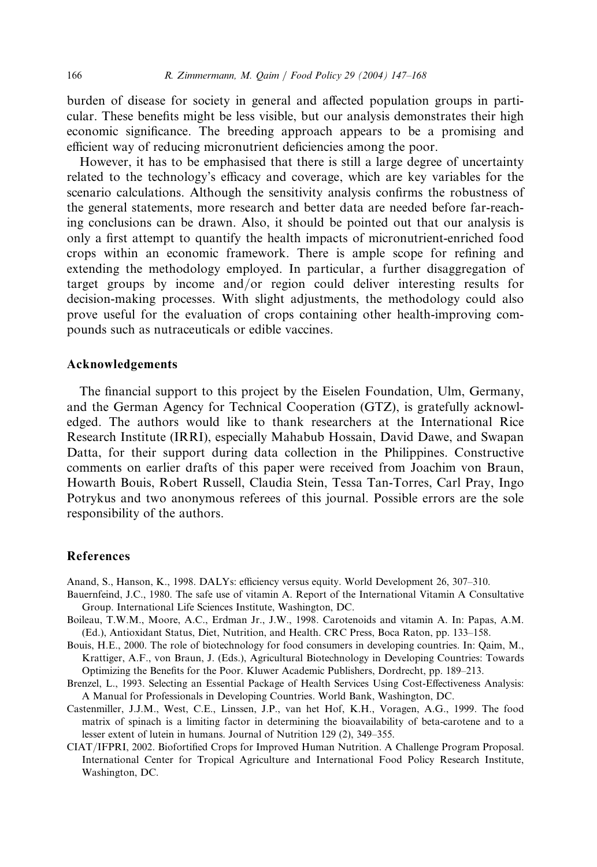<span id="page-19-0"></span>burden of disease for society in general and affected population groups in particular. These benefits might be less visible, but our analysis demonstrates their high economic significance. The breeding approach appears to be a promising and efficient way of reducing micronutrient deficiencies among the poor.

However, it has to be emphasised that there is still a large degree of uncertainty related to the technology's efficacy and coverage, which are key variables for the scenario calculations. Although the sensitivity analysis confirms the robustness of the general statements, more research and better data are needed before far-reaching conclusions can be drawn. Also, it should be pointed out that our analysis is only a first attempt to quantify the health impacts of micronutrient-enriched food crops within an economic framework. There is ample scope for refining and extending the methodology employed. In particular, a further disaggregation of target groups by income and/or region could deliver interesting results for decision-making processes. With slight adjustments, the methodology could also prove useful for the evaluation of crops containing other health-improving compounds such as nutraceuticals or edible vaccines.

## Acknowledgements

The financial support to this project by the Eiselen Foundation, Ulm, Germany, and the German Agency for Technical Cooperation (GTZ), is gratefully acknowledged. The authors would like to thank researchers at the International Rice Research Institute (IRRI), especially Mahabub Hossain, David Dawe, and Swapan Datta, for their support during data collection in the Philippines. Constructive comments on earlier drafts of this paper were received from Joachim von Braun, Howarth Bouis, Robert Russell, Claudia Stein, Tessa Tan-Torres, Carl Pray, Ingo Potrykus and two anonymous referees of this journal. Possible errors are the sole responsibility of the authors.

## References

Anand, S., Hanson, K., 1998. DALYs: efficiency versus equity. World Development 26, 307–310.

- Bauernfeind, J.C., 1980. The safe use of vitamin A. Report of the International Vitamin A Consultative Group. International Life Sciences Institute, Washington, DC.
- Boileau, T.W.M., Moore, A.C., Erdman Jr., J.W., 1998. Carotenoids and vitamin A. In: Papas, A.M. (Ed.), Antioxidant Status, Diet, Nutrition, and Health. CRC Press, Boca Raton, pp. 133–158.
- Bouis, H.E., 2000. The role of biotechnology for food consumers in developing countries. In: Qaim, M., Krattiger, A.F., von Braun, J. (Eds.), Agricultural Biotechnology in Developing Countries: Towards Optimizing the Benefits for the Poor. Kluwer Academic Publishers, Dordrecht, pp. 189–213.
- Brenzel, L., 1993. Selecting an Essential Package of Health Services Using Cost-Effectiveness Analysis: A Manual for Professionals in Developing Countries. World Bank, Washington, DC.
- Castenmiller, J.J.M., West, C.E., Linssen, J.P., van het Hof, K.H., Voragen, A.G., 1999. The food matrix of spinach is a limiting factor in determining the bioavailability of beta-carotene and to a lesser extent of lutein in humans. Journal of Nutrition 129 (2), 349–355.
- CIAT/IFPRI, 2002. Biofortified Crops for Improved Human Nutrition. A Challenge Program Proposal. International Center for Tropical Agriculture and International Food Policy Research Institute, Washington, DC.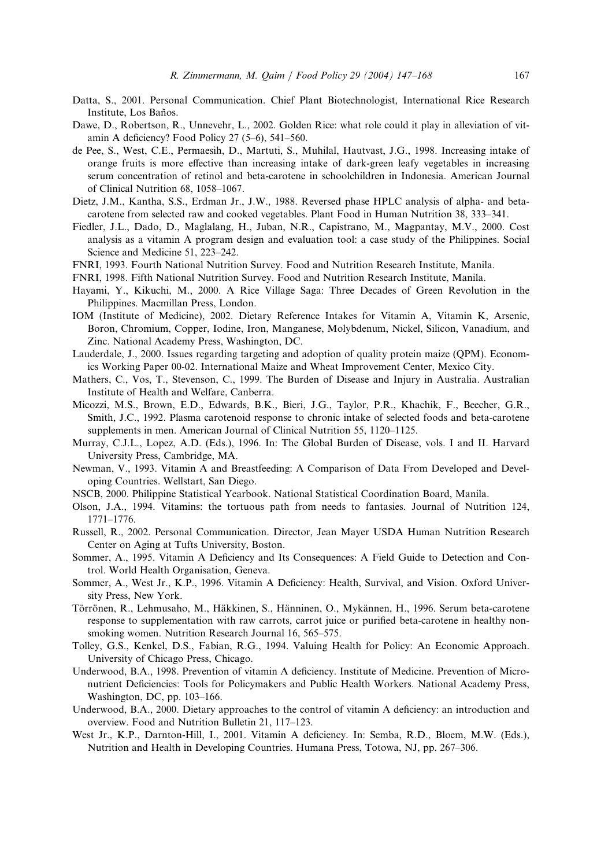- <span id="page-20-0"></span>Datta, S., 2001. Personal Communication. Chief Plant Biotechnologist, International Rice Research Institute, Los Baños.
- Dawe, D., Robertson, R., Unnevehr, L., 2002. Golden Rice: what role could it play in alleviation of vitamin A deficiency? Food Policy 27 (5–6), 541–560.
- de Pee, S., West, C.E., Permaesih, D., Martuti, S., Muhilal, Hautvast, J.G., 1998. Increasing intake of orange fruits is more effective than increasing intake of dark-green leafy vegetables in increasing serum concentration of retinol and beta-carotene in schoolchildren in Indonesia. American Journal of Clinical Nutrition 68, 1058–1067.
- Dietz, J.M., Kantha, S.S., Erdman Jr., J.W., 1988. Reversed phase HPLC analysis of alpha- and betacarotene from selected raw and cooked vegetables. Plant Food in Human Nutrition 38, 333–341.
- Fiedler, J.L., Dado, D., Maglalang, H., Juban, N.R., Capistrano, M., Magpantay, M.V., 2000. Cost analysis as a vitamin A program design and evaluation tool: a case study of the Philippines. Social Science and Medicine 51, 223–242.
- FNRI, 1993. Fourth National Nutrition Survey. Food and Nutrition Research Institute, Manila.
- FNRI, 1998. Fifth National Nutrition Survey. Food and Nutrition Research Institute, Manila.
- Hayami, Y., Kikuchi, M., 2000. A Rice Village Saga: Three Decades of Green Revolution in the Philippines. Macmillan Press, London.
- IOM (Institute of Medicine), 2002. Dietary Reference Intakes for Vitamin A, Vitamin K, Arsenic, Boron, Chromium, Copper, Iodine, Iron, Manganese, Molybdenum, Nickel, Silicon, Vanadium, and Zinc. National Academy Press, Washington, DC.
- Lauderdale, J., 2000. Issues regarding targeting and adoption of quality protein maize (QPM). Economics Working Paper 00-02. International Maize and Wheat Improvement Center, Mexico City.
- Mathers, C., Vos, T., Stevenson, C., 1999. The Burden of Disease and Injury in Australia. Australian Institute of Health and Welfare, Canberra.
- Micozzi, M.S., Brown, E.D., Edwards, B.K., Bieri, J.G., Taylor, P.R., Khachik, F., Beecher, G.R., Smith, J.C., 1992. Plasma carotenoid response to chronic intake of selected foods and beta-carotene supplements in men. American Journal of Clinical Nutrition 55, 1120–1125.
- Murray, C.J.L., Lopez, A.D. (Eds.), 1996. In: The Global Burden of Disease, vols. I and II. Harvard University Press, Cambridge, MA.
- Newman, V., 1993. Vitamin A and Breastfeeding: A Comparison of Data From Developed and Developing Countries. Wellstart, San Diego.
- NSCB, 2000. Philippine Statistical Yearbook. National Statistical Coordination Board, Manila.
- Olson, J.A., 1994. Vitamins: the tortuous path from needs to fantasies. Journal of Nutrition 124, 1771–1776.
- Russell, R., 2002. Personal Communication. Director, Jean Mayer USDA Human Nutrition Research Center on Aging at Tufts University, Boston.
- Sommer, A., 1995. Vitamin A Deficiency and Its Consequences: A Field Guide to Detection and Control. World Health Organisation, Geneva.
- Sommer, A., West Jr., K.P., 1996. Vitamin A Deficiency: Health, Survival, and Vision. Oxford University Press, New York.
- Törrönen, R., Lehmusaho, M., Häkkinen, S., Hänninen, O., Mykännen, H., 1996. Serum beta-carotene response to supplementation with raw carrots, carrot juice or purified beta-carotene in healthy nonsmoking women. Nutrition Research Journal 16, 565–575.
- Tolley, G.S., Kenkel, D.S., Fabian, R.G., 1994. Valuing Health for Policy: An Economic Approach. University of Chicago Press, Chicago.
- Underwood, B.A., 1998. Prevention of vitamin A deficiency. Institute of Medicine. Prevention of Micronutrient Deficiencies: Tools for Policymakers and Public Health Workers. National Academy Press, Washington, DC, pp. 103–166.
- Underwood, B.A., 2000. Dietary approaches to the control of vitamin A deficiency: an introduction and overview. Food and Nutrition Bulletin 21, 117–123.
- West Jr., K.P., Darnton-Hill, I., 2001. Vitamin A deficiency. In: Semba, R.D., Bloem, M.W. (Eds.), Nutrition and Health in Developing Countries. Humana Press, Totowa, NJ, pp. 267–306.